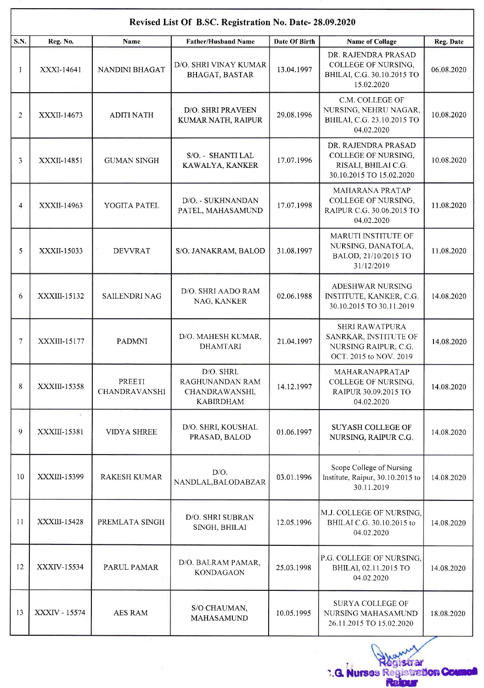| Revised List Of B.SC. Registration No. Date- 28.09.2020 |                    |                                |                                                                     |                      |                                                                                                  |            |  |  |  |  |
|---------------------------------------------------------|--------------------|--------------------------------|---------------------------------------------------------------------|----------------------|--------------------------------------------------------------------------------------------------|------------|--|--|--|--|
| S.N.                                                    | Reg. No.           | Name                           | <b>Father/Husband Name</b>                                          | <b>Date Of Birth</b> | <b>Name of Collage</b>                                                                           | Reg. Date  |  |  |  |  |
| 1                                                       | XXXI-14641         | <b>NANDINI BHAGAT</b>          | D/O. SHRI VINAY KUMAR<br><b>BHAGAT, BASTAR</b>                      | 13.04.1997           | DR. RAJENDRA PRASAD<br>COLLEGE OF NURSING,<br>BHILAI, C.G. 30.10.2015 TO<br>15.02.2020           | 06.08.2020 |  |  |  |  |
| 2                                                       | XXXII-14673        | <b>ADITI NATH</b>              | D/O. SHRI PRAVEEN<br>KUMAR NATH, RAIPUR                             | 29.08.1996           | C.M. COLLEGE OF<br>NURSING, NEHRU NAGAR,<br>BHILAI, C.G. 23.10.2015 TO<br>04.02.2020             | 10.08.2020 |  |  |  |  |
| 3                                                       | <b>XXXII-14851</b> | <b>GUMAN SINGH</b>             | S/O. - SHANTI LAL<br>KAWALYA, KANKER                                | 17.07.1996           | DR. RAJENDRA PRASAD<br>COLLEGE OF NURSING,<br>RISALI, BHILAI C.G.<br>30.10.2015 TO 15.02.2020    | 10.08.2020 |  |  |  |  |
| 4                                                       | XXXII-14963        | YOGITA PATEL                   | D/O. - SUKHNANDAN<br>PATEL, MAHASAMUND                              | 17.07.1998           | MAHARANA PRATAP<br>COLLEGE OF NURSING,<br>RAIPUR C.G. 30.06.2015 TO<br>04.02.2020                | 11.08.2020 |  |  |  |  |
| 5                                                       | XXXII-15033        | <b>DEVVRAT</b>                 | S/O. JANAKRAM, BALOD                                                | 31.08.1997           | MARUTI INSTITUTE OF<br>NURSING, DANATOLA,<br>BALOD, 21/10/2015 TO<br>31/12/2019                  | 11.08.2020 |  |  |  |  |
| 6                                                       | XXXIII-15132       | <b>SAILENDRI NAG</b>           | D/O. SHRI AADO RAM<br>NAG, KANKER                                   | 02.06.1988           | ADESHWAR NURSING<br>INSTITUTE, KANKER, C.G.<br>30.10.2015 TO 30.11.2019                          | 14.08.2020 |  |  |  |  |
| 7                                                       | XXXIII-15177       | PADMNI                         | D/O. MAHESH KUMAR,<br><b>DHAMTARI</b>                               | 21.04.1997           | <b>SHRI RAWATPURA</b><br>SANRKAR, INSTITUTE OF<br>NURSING RAIPUR, C.G.<br>OCT. 2015 to NOV. 2019 | 14.08.2020 |  |  |  |  |
| 8                                                       | XXXIII-15358       | PREETI<br><b>CHANDRAVANSHI</b> | D/O. SHRI.<br>RAGHUNANDAN RAM<br>CHANDRAWANSHI,<br><b>KABIRDHAM</b> | 14.12.1997           | MAHARANAPRATAP<br>COLLEGE OF NURSING,<br>RAIPUR 30.09.2015 TO<br>04.02.2020                      | 14.08.2020 |  |  |  |  |
| 9                                                       | XXXIII-15381       | <b>VIDYA SHREE</b>             | D/O. SHRI, KOUSHAL<br>PRASAD, BALOD                                 | 01.06.1997           | <b>SUYASH COLLEGE OF</b><br>NURSING, RAIPUR C.G.                                                 | 14.08.2020 |  |  |  |  |
| 10                                                      | XXXIII-15399       | <b>RAKESH KUMAR</b>            | D/O.<br>NANDLAL, BALODABZAR                                         | 03.01.1996           | Scope College of Nursing<br>Institute, Raipur, 30.10.2015 to<br>30.11.2019                       | 14.08.2020 |  |  |  |  |
| 11                                                      | XXXIII-15428       | PREMLATA SINGH                 | D/O. SHRI SUBRAN<br>SINGH, BHILAI                                   | 12.05.1996           | M.J. COLLEGE OF NURSING,<br>BHILAI C.G. 30.10.2015 to<br>04.02.2020                              | 14.08.2020 |  |  |  |  |
| 12                                                      | XXXIV-15534        | PARUL PAMAR                    | D/O. BALRAM PAMAR,<br><b>KONDAGAON</b>                              | 25.03.1998           | P.G. COLLEGE OF NURSING,<br>BHILAI, 02.11.2015 TO<br>04.02.2020                                  | 14.08.2020 |  |  |  |  |
| 13                                                      | XXXIV - 15574      | <b>AES RAM</b>                 | S/O CHAUMAN,<br>MAHASAMUND                                          | 10.05.1995           | <b>SURYA COLLEGE OF</b><br>NURSING MAHASAMUND<br>26.11.2015 TO 15.02.2020                        | 18.08.2020 |  |  |  |  |